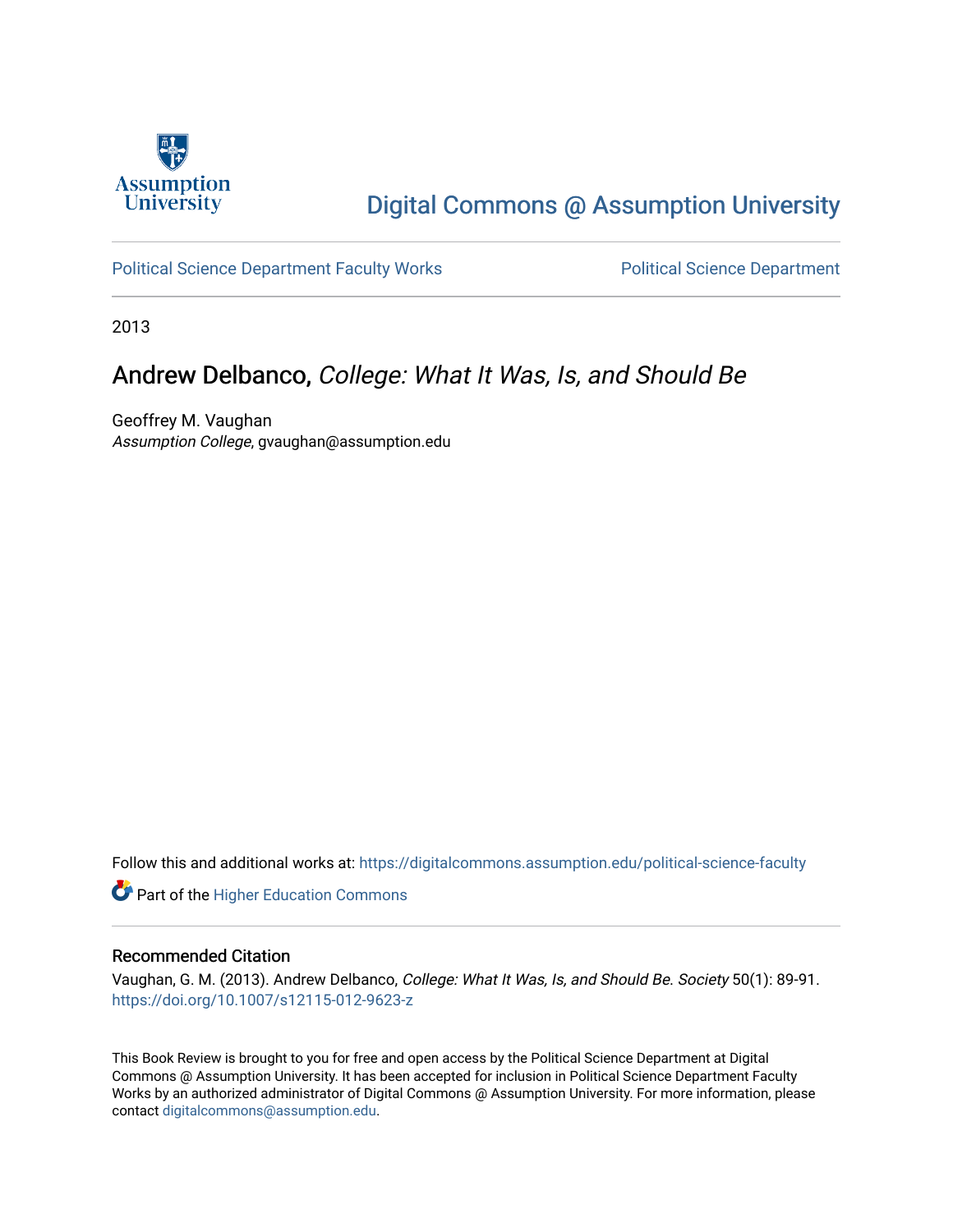

## [Digital Commons @ Assumption University](https://digitalcommons.assumption.edu/)

[Political Science Department Faculty Works](https://digitalcommons.assumption.edu/political-science-faculty) **Political Science Department** 

2013

## Andrew Delbanco, College: What It Was, Is, and Should Be

Geoffrey M. Vaughan Assumption College, gvaughan@assumption.edu

Follow this and additional works at: [https://digitalcommons.assumption.edu/political-science-faculty](https://digitalcommons.assumption.edu/political-science-faculty?utm_source=digitalcommons.assumption.edu%2Fpolitical-science-faculty%2F49&utm_medium=PDF&utm_campaign=PDFCoverPages)

**Part of the Higher Education Commons** 

## Recommended Citation

Vaughan, G. M. (2013). Andrew Delbanco, College: What It Was, Is, and Should Be. Society 50(1): 89-91. <https://doi.org/10.1007/s12115-012-9623-z>

This Book Review is brought to you for free and open access by the Political Science Department at Digital Commons @ Assumption University. It has been accepted for inclusion in Political Science Department Faculty Works by an authorized administrator of Digital Commons @ Assumption University. For more information, please contact [digitalcommons@assumption.edu.](mailto:digitalcommons@assumption.edu)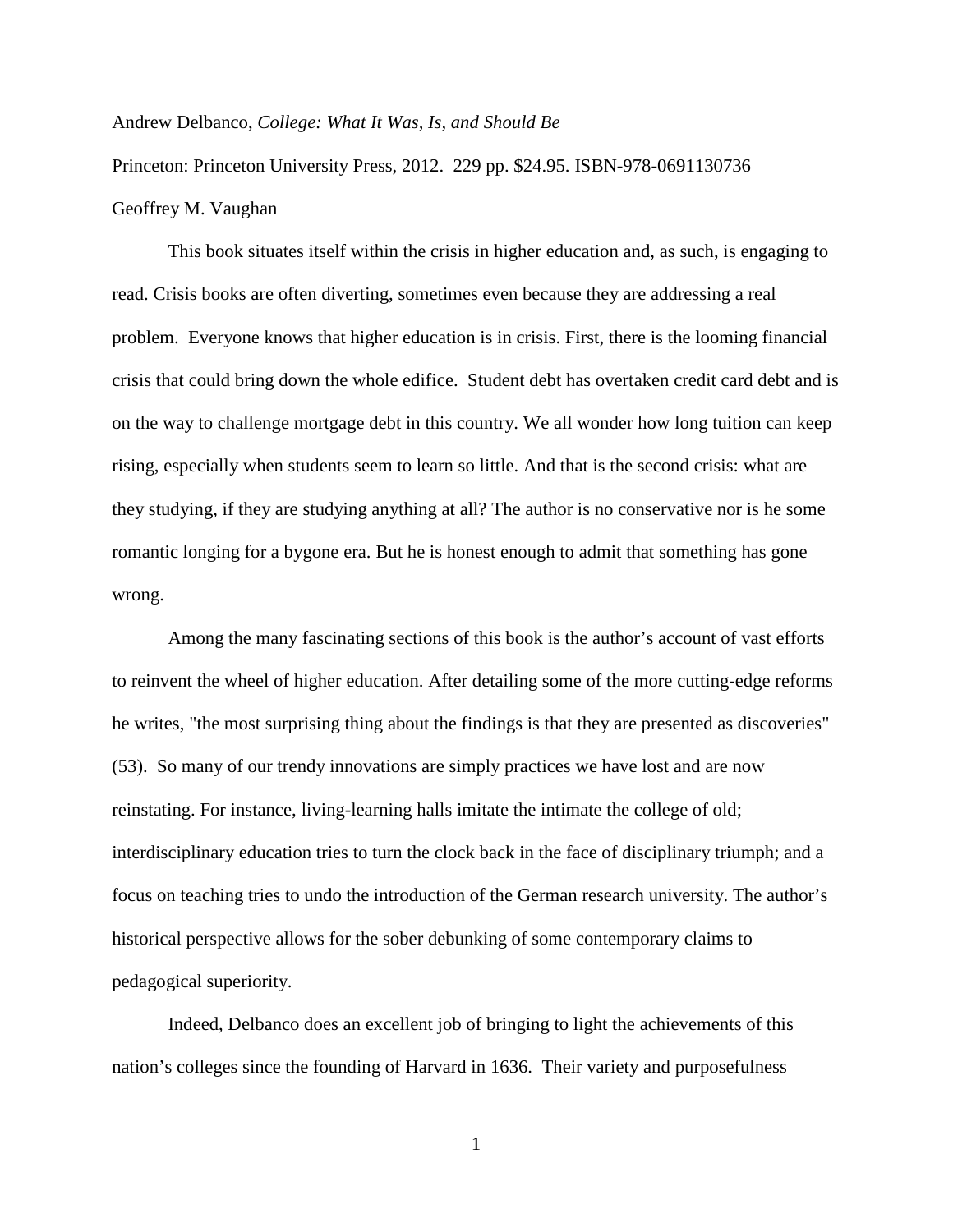Andrew Delbanco, *College: What It Was, Is, and Should Be*

Princeton: Princeton University Press, 2012. 229 pp. \$24.95. ISBN-978-0691130736 Geoffrey M. Vaughan

This book situates itself within the crisis in higher education and, as such, is engaging to read. Crisis books are often diverting, sometimes even because they are addressing a real problem. Everyone knows that higher education is in crisis. First, there is the looming financial crisis that could bring down the whole edifice. Student debt has overtaken credit card debt and is on the way to challenge mortgage debt in this country. We all wonder how long tuition can keep rising, especially when students seem to learn so little. And that is the second crisis: what are they studying, if they are studying anything at all? The author is no conservative nor is he some romantic longing for a bygone era. But he is honest enough to admit that something has gone wrong.

Among the many fascinating sections of this book is the author's account of vast efforts to reinvent the wheel of higher education. After detailing some of the more cutting-edge reforms he writes, "the most surprising thing about the findings is that they are presented as discoveries" (53). So many of our trendy innovations are simply practices we have lost and are now reinstating. For instance, living-learning halls imitate the intimate the college of old; interdisciplinary education tries to turn the clock back in the face of disciplinary triumph; and a focus on teaching tries to undo the introduction of the German research university. The author's historical perspective allows for the sober debunking of some contemporary claims to pedagogical superiority.

Indeed, Delbanco does an excellent job of bringing to light the achievements of this nation's colleges since the founding of Harvard in 1636. Their variety and purposefulness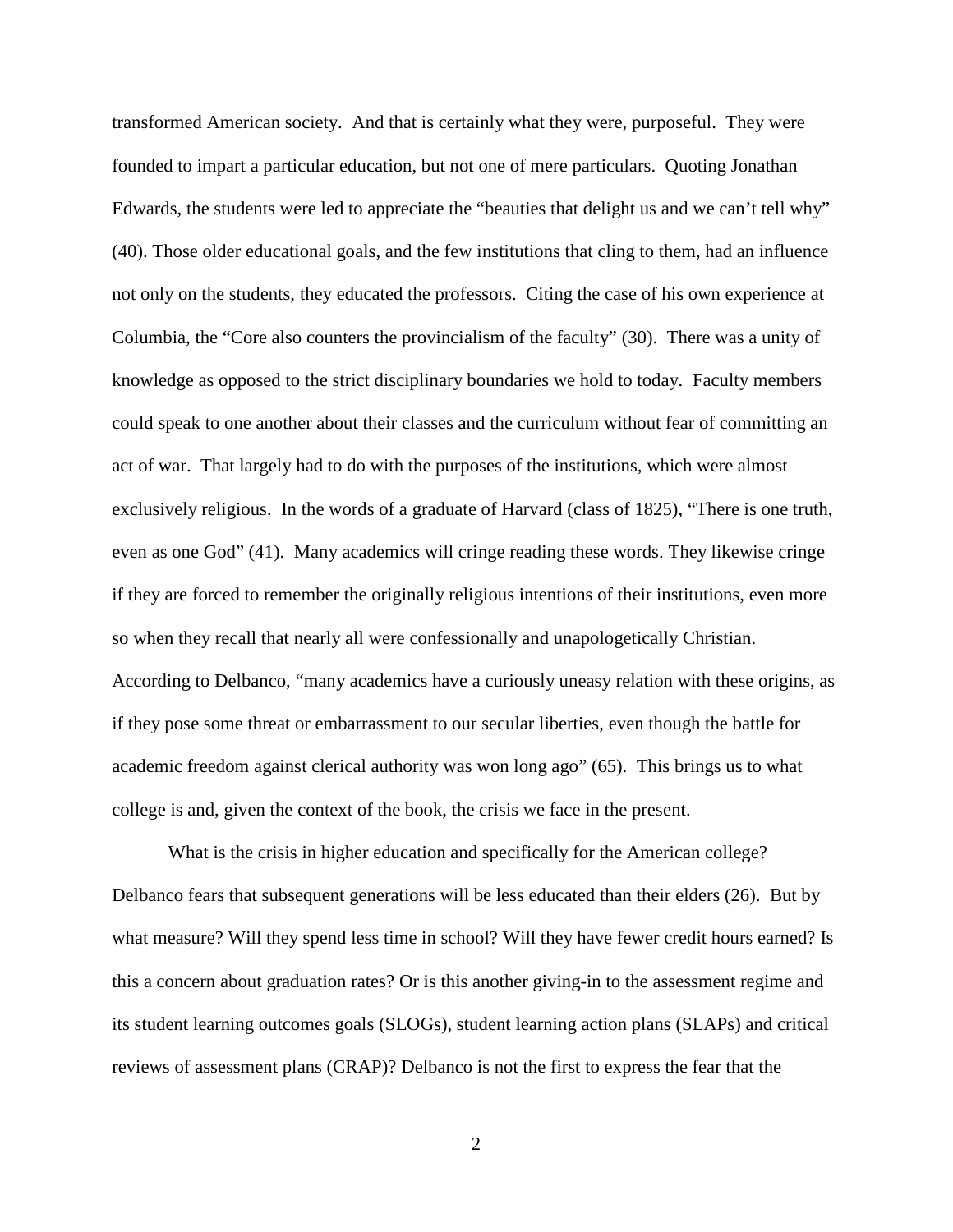transformed American society. And that is certainly what they were, purposeful. They were founded to impart a particular education, but not one of mere particulars. Quoting Jonathan Edwards, the students were led to appreciate the "beauties that delight us and we can't tell why" (40). Those older educational goals, and the few institutions that cling to them, had an influence not only on the students, they educated the professors. Citing the case of his own experience at Columbia, the "Core also counters the provincialism of the faculty" (30). There was a unity of knowledge as opposed to the strict disciplinary boundaries we hold to today. Faculty members could speak to one another about their classes and the curriculum without fear of committing an act of war. That largely had to do with the purposes of the institutions, which were almost exclusively religious. In the words of a graduate of Harvard (class of 1825), "There is one truth, even as one God" (41). Many academics will cringe reading these words. They likewise cringe if they are forced to remember the originally religious intentions of their institutions, even more so when they recall that nearly all were confessionally and unapologetically Christian. According to Delbanco, "many academics have a curiously uneasy relation with these origins, as if they pose some threat or embarrassment to our secular liberties, even though the battle for academic freedom against clerical authority was won long ago" (65). This brings us to what college is and, given the context of the book, the crisis we face in the present.

What is the crisis in higher education and specifically for the American college? Delbanco fears that subsequent generations will be less educated than their elders (26). But by what measure? Will they spend less time in school? Will they have fewer credit hours earned? Is this a concern about graduation rates? Or is this another giving-in to the assessment regime and its student learning outcomes goals (SLOGs), student learning action plans (SLAPs) and critical reviews of assessment plans (CRAP)? Delbanco is not the first to express the fear that the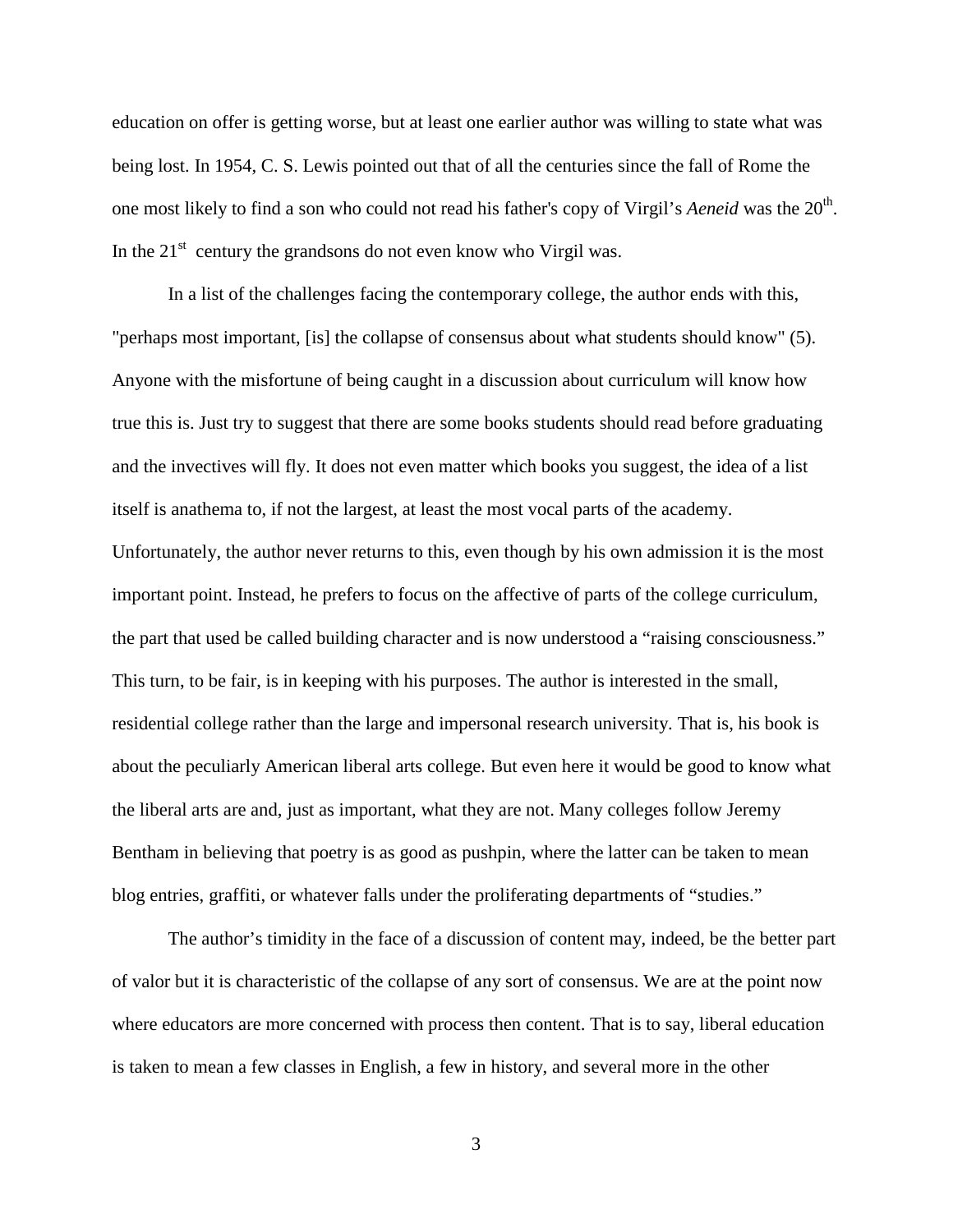education on offer is getting worse, but at least one earlier author was willing to state what was being lost. In 1954, C. S. Lewis pointed out that of all the centuries since the fall of Rome the one most likely to find a son who could not read his father's copy of Virgil's *Aeneid* was the 20<sup>th</sup>. In the  $21<sup>st</sup>$  century the grandsons do not even know who Virgil was.

In a list of the challenges facing the contemporary college, the author ends with this, "perhaps most important, [is] the collapse of consensus about what students should know" (5). Anyone with the misfortune of being caught in a discussion about curriculum will know how true this is. Just try to suggest that there are some books students should read before graduating and the invectives will fly. It does not even matter which books you suggest, the idea of a list itself is anathema to, if not the largest, at least the most vocal parts of the academy. Unfortunately, the author never returns to this, even though by his own admission it is the most important point. Instead, he prefers to focus on the affective of parts of the college curriculum, the part that used be called building character and is now understood a "raising consciousness." This turn, to be fair, is in keeping with his purposes. The author is interested in the small, residential college rather than the large and impersonal research university. That is, his book is about the peculiarly American liberal arts college. But even here it would be good to know what the liberal arts are and, just as important, what they are not. Many colleges follow Jeremy Bentham in believing that poetry is as good as pushpin, where the latter can be taken to mean blog entries, graffiti, or whatever falls under the proliferating departments of "studies."

The author's timidity in the face of a discussion of content may, indeed, be the better part of valor but it is characteristic of the collapse of any sort of consensus. We are at the point now where educators are more concerned with process then content. That is to say, liberal education is taken to mean a few classes in English, a few in history, and several more in the other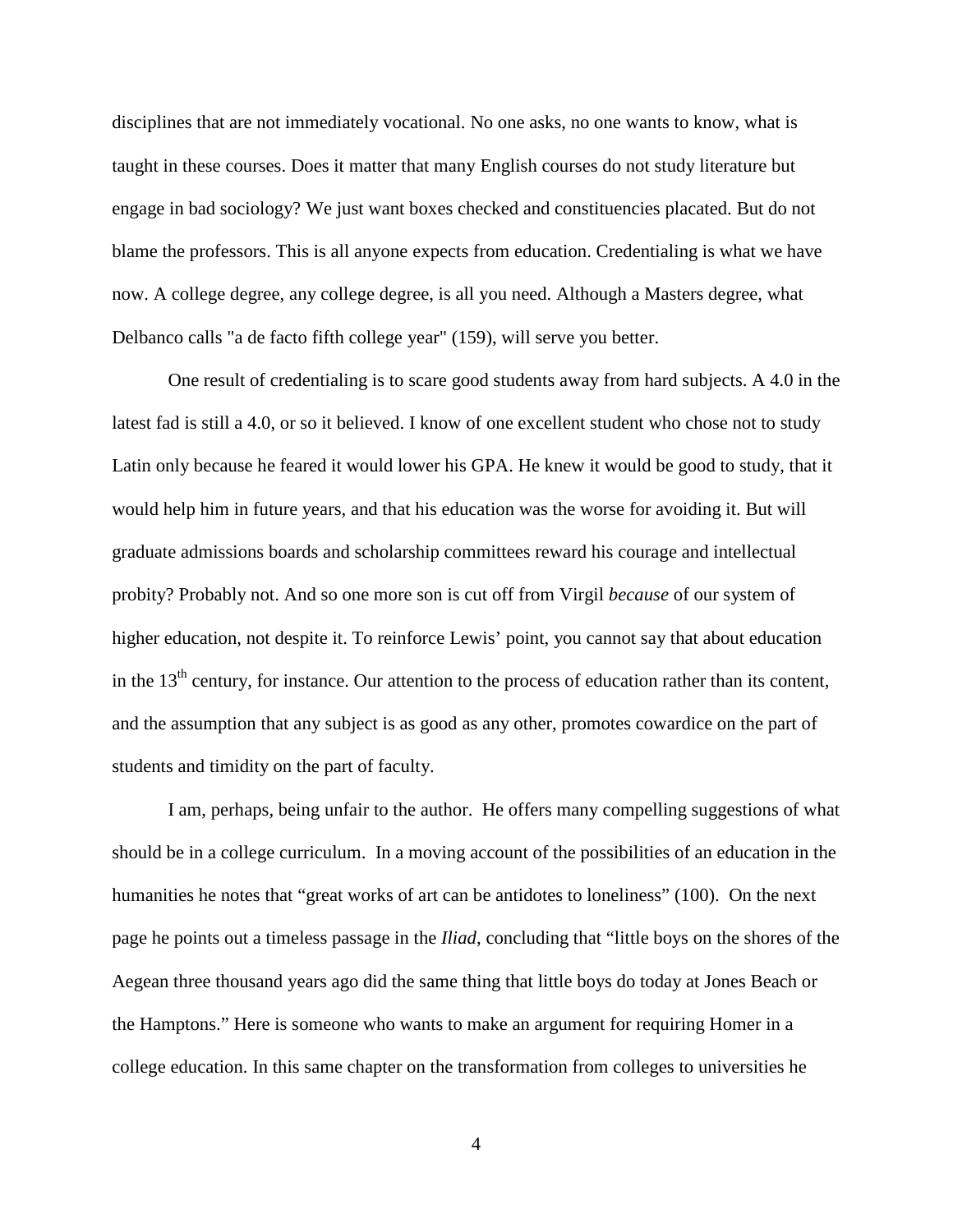disciplines that are not immediately vocational. No one asks, no one wants to know, what is taught in these courses. Does it matter that many English courses do not study literature but engage in bad sociology? We just want boxes checked and constituencies placated. But do not blame the professors. This is all anyone expects from education. Credentialing is what we have now. A college degree, any college degree, is all you need. Although a Masters degree, what Delbanco calls "a de facto fifth college year" (159), will serve you better.

One result of credentialing is to scare good students away from hard subjects. A 4.0 in the latest fad is still a 4.0, or so it believed. I know of one excellent student who chose not to study Latin only because he feared it would lower his GPA. He knew it would be good to study, that it would help him in future years, and that his education was the worse for avoiding it. But will graduate admissions boards and scholarship committees reward his courage and intellectual probity? Probably not. And so one more son is cut off from Virgil *because* of our system of higher education, not despite it. To reinforce Lewis' point, you cannot say that about education in the  $13<sup>th</sup>$  century, for instance. Our attention to the process of education rather than its content, and the assumption that any subject is as good as any other, promotes cowardice on the part of students and timidity on the part of faculty.

I am, perhaps, being unfair to the author. He offers many compelling suggestions of what should be in a college curriculum. In a moving account of the possibilities of an education in the humanities he notes that "great works of art can be antidotes to loneliness" (100). On the next page he points out a timeless passage in the *Iliad*, concluding that "little boys on the shores of the Aegean three thousand years ago did the same thing that little boys do today at Jones Beach or the Hamptons." Here is someone who wants to make an argument for requiring Homer in a college education. In this same chapter on the transformation from colleges to universities he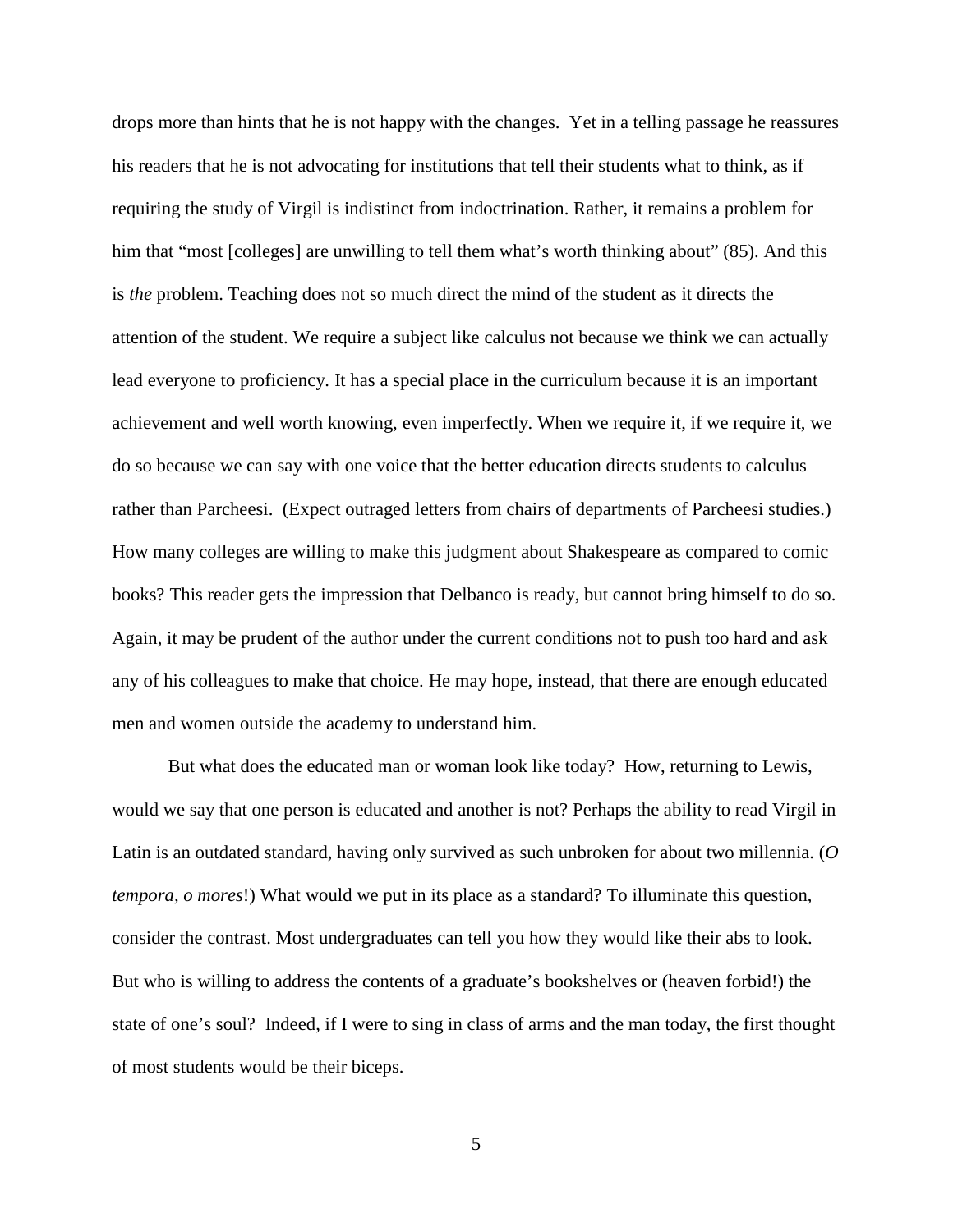drops more than hints that he is not happy with the changes. Yet in a telling passage he reassures his readers that he is not advocating for institutions that tell their students what to think, as if requiring the study of Virgil is indistinct from indoctrination. Rather, it remains a problem for him that "most [colleges] are unwilling to tell them what's worth thinking about" (85). And this is *the* problem. Teaching does not so much direct the mind of the student as it directs the attention of the student. We require a subject like calculus not because we think we can actually lead everyone to proficiency. It has a special place in the curriculum because it is an important achievement and well worth knowing, even imperfectly. When we require it, if we require it, we do so because we can say with one voice that the better education directs students to calculus rather than Parcheesi. (Expect outraged letters from chairs of departments of Parcheesi studies.) How many colleges are willing to make this judgment about Shakespeare as compared to comic books? This reader gets the impression that Delbanco is ready, but cannot bring himself to do so. Again, it may be prudent of the author under the current conditions not to push too hard and ask any of his colleagues to make that choice. He may hope, instead, that there are enough educated men and women outside the academy to understand him.

But what does the educated man or woman look like today? How, returning to Lewis, would we say that one person is educated and another is not? Perhaps the ability to read Virgil in Latin is an outdated standard, having only survived as such unbroken for about two millennia. (*O tempora, o mores*!) What would we put in its place as a standard? To illuminate this question, consider the contrast. Most undergraduates can tell you how they would like their abs to look. But who is willing to address the contents of a graduate's bookshelves or (heaven forbid!) the state of one's soul? Indeed, if I were to sing in class of arms and the man today, the first thought of most students would be their biceps.